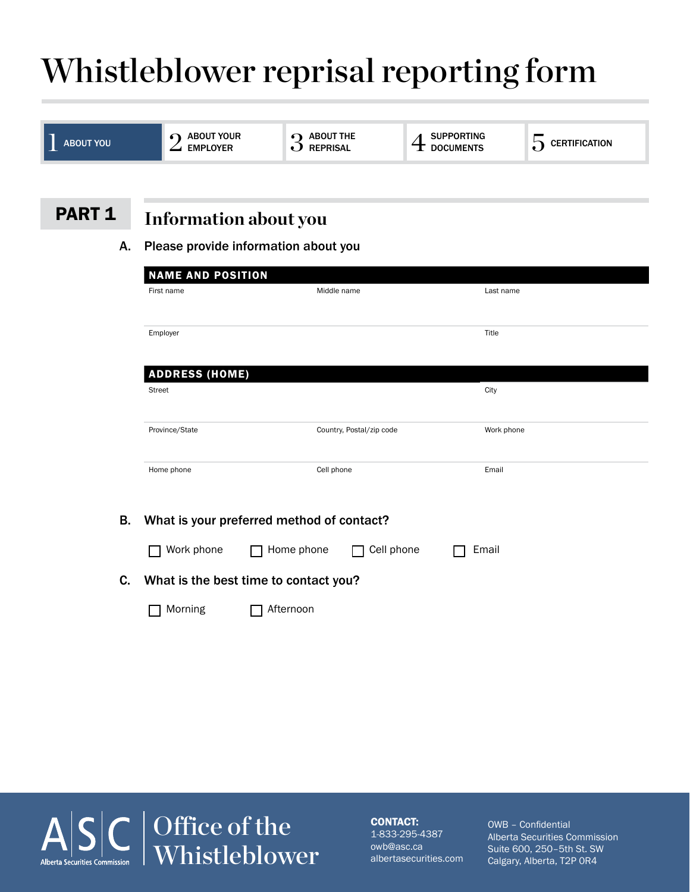# Whistleblower reprisal reporting form

| <b>ABOUT YOU</b> | ABOUT YOUR<br><b>EMPLOYER</b>        | $\boldsymbol{Q}$ ABOUT THE<br><b>REPRISAL</b> | <b>SUPPORTING</b><br><b>DOCUMENTS</b> | $\overline{5}$ CERTIFICATION |  |  |
|------------------|--------------------------------------|-----------------------------------------------|---------------------------------------|------------------------------|--|--|
|                  |                                      |                                               |                                       |                              |  |  |
| <b>PART 1</b>    | <b>Information about you</b>         |                                               |                                       |                              |  |  |
| Α.               | Please provide information about you |                                               |                                       |                              |  |  |
|                  | <b>NAME AND POSITION</b>             |                                               |                                       |                              |  |  |
|                  | First name                           | Middle name                                   | Last name                             |                              |  |  |
|                  | Employer                             |                                               | Title                                 |                              |  |  |
|                  | <b>ADDRESS (HOME)</b>                |                                               |                                       |                              |  |  |
|                  | <b>Street</b>                        |                                               | City                                  |                              |  |  |
|                  | Province/State                       | Country, Postal/zip code                      | Work phone                            |                              |  |  |
|                  | Home phone                           | Cell phone                                    | Email                                 |                              |  |  |
| <b>B.</b>        |                                      | What is your preferred method of contact?     |                                       |                              |  |  |
|                  | Work phone                           | Home phone                                    | Cell phone<br>Email                   |                              |  |  |
| C.               |                                      | What is the best time to contact you?         |                                       |                              |  |  |
|                  | Morning                              | Afternoon                                     |                                       |                              |  |  |



#### CONTACT:

1-833-295-4387 owb@asc.ca albertasecurities.com OWB – Confidential Alberta Securities Commission Suite 600, 250–5th St. SW Calgary, Alberta, T2P 0R4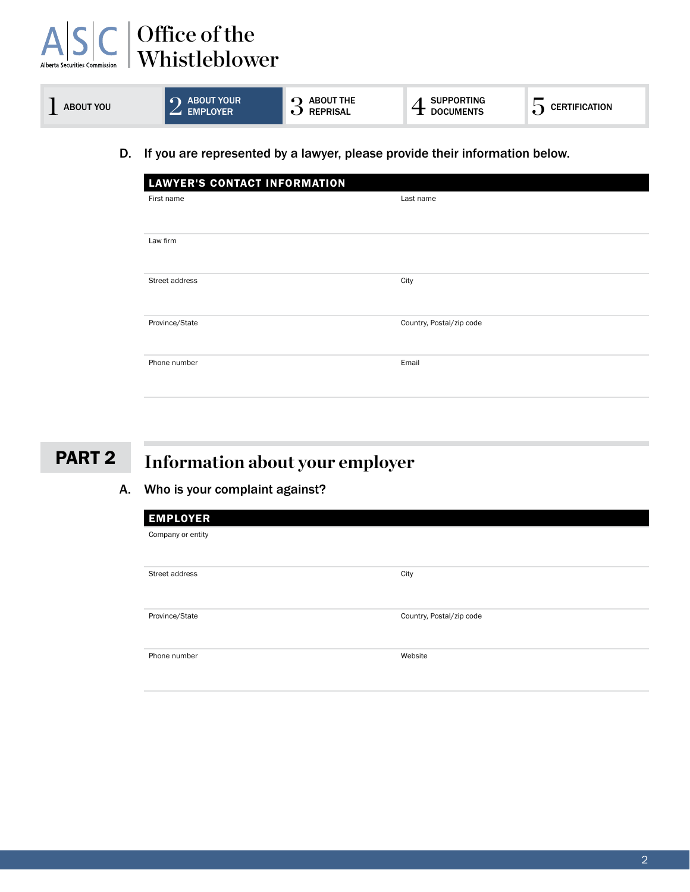| $\Delta$<br><b>Alberta Securities Commission</b> | Office of the<br>Whistleblower                                            |                                     |                                       |                      |
|--------------------------------------------------|---------------------------------------------------------------------------|-------------------------------------|---------------------------------------|----------------------|
| <b>ABOUT YOU</b>                                 | <b>ABOUT YOUR</b><br><b>EMPLOYER</b>                                      | <b>ABOUT THE</b><br><b>REPRISAL</b> | <b>SUPPORTING</b><br><b>DOCUMENTS</b> | $\sum$ CERTIFICATION |
| D.                                               | If you are represented by a lawyer please provide their information below |                                     |                                       |                      |

Information below.

| <b>LAWYER'S CONTACT INFORMATION</b> |                          |
|-------------------------------------|--------------------------|
| First name                          | Last name                |
|                                     |                          |
| Law firm                            |                          |
|                                     |                          |
| Street address                      | City                     |
| Province/State                      | Country, Postal/zip code |
| Phone number                        | Email                    |
|                                     |                          |

### PART 2

### **Information about your employer**

#### A. Who is your complaint against?

| <b>EMPLOYER</b>   |                          |
|-------------------|--------------------------|
| Company or entity |                          |
|                   |                          |
| Street address    | City                     |
|                   |                          |
| Province/State    | Country, Postal/zip code |
|                   |                          |
| Phone number      | Website                  |
|                   |                          |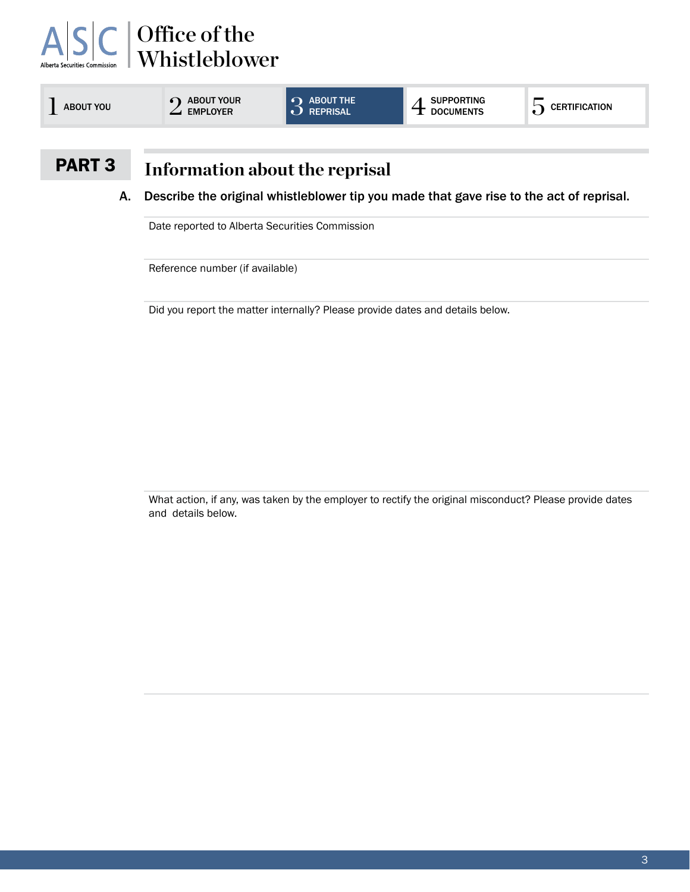# Office of the Whistleblower

| <b>ABOUT YOU</b> | <b>ABOUT YOUR</b><br><b>EMPLOYER</b> | $\Omega$ ABOUT THE<br>D REPRISAL | <b>SUPPORTING</b><br><b>DOCUMENTS</b> | <b>CERTIFICATION</b> |
|------------------|--------------------------------------|----------------------------------|---------------------------------------|----------------------|
|                  |                                      |                                  |                                       |                      |

### PART 3

#### **Information about the reprisal**

A. Describe the original whistleblower tip you made that gave rise to the act of reprisal.

Date reported to Alberta Securities Commission

Reference number (if available)

Did you report the matter internally? Please provide dates and details below.

What action, if any, was taken by the employer to rectify the original misconduct? Please provide dates and details below.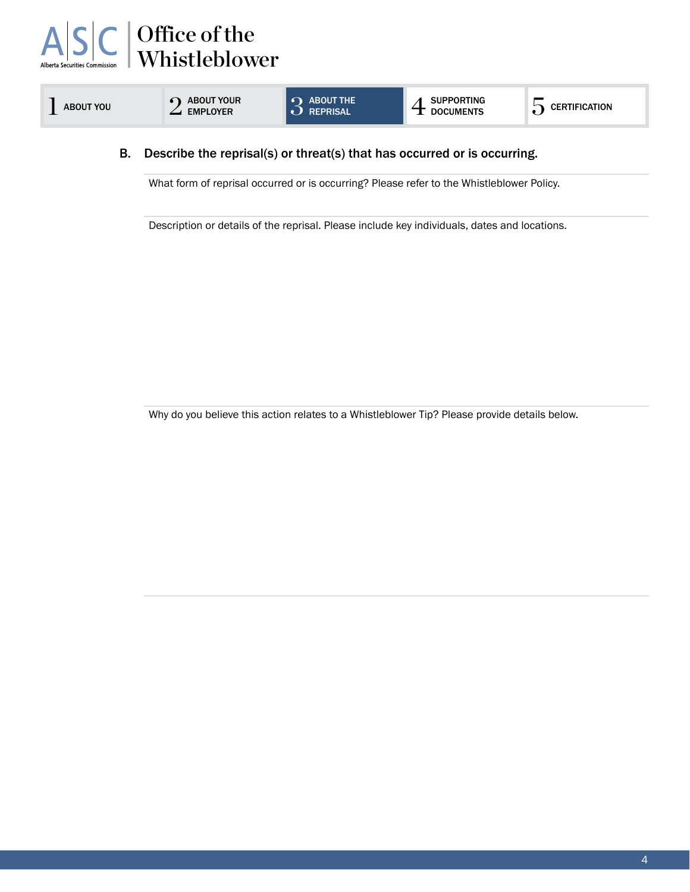

### 4 SUPPORTING

#### B. Describe the reprisal(s) or threat(s) that has occurred or is occurring.

What form of reprisal occurred or is occurring? Please refer to the Whistleblower Policy.

Description or details of the reprisal. Please include key individuals, dates and locations.

Why do you believe this action relates to a Whistleblower Tip? Please provide details below.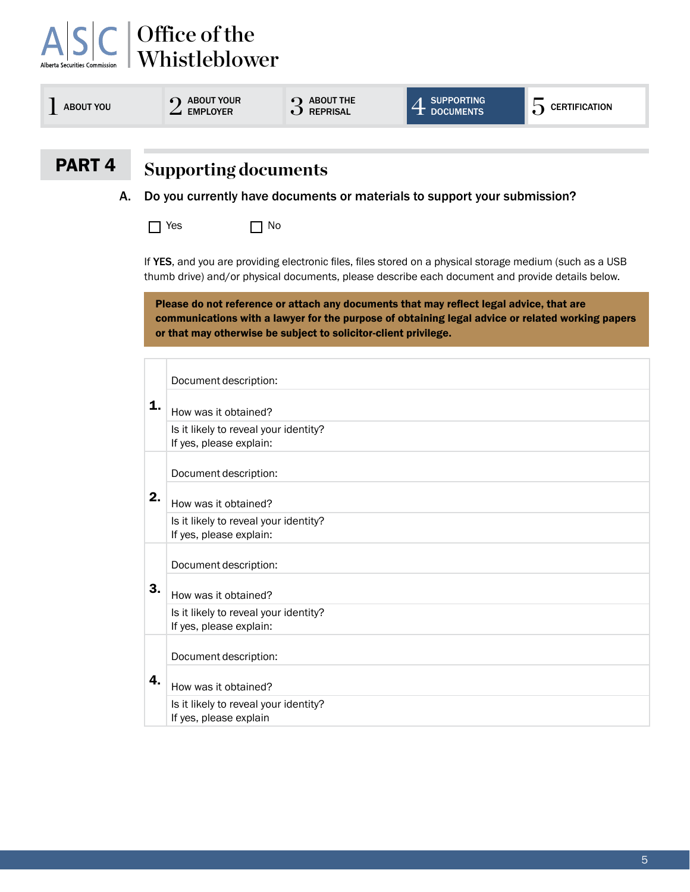| <b>ABOUT YOU</b>  | <b>ABOUT YOUR</b><br><b>EMPLOYER</b>                                     | $3$ ABOUT THE REPRISAL                                                                                                                                     | <b>SUPPORTING</b><br><b>DOCUMENTS</b> | $\overline{\mathbf{Q}}$ CERTIFICATION                                                            |  |
|-------------------|--------------------------------------------------------------------------|------------------------------------------------------------------------------------------------------------------------------------------------------------|---------------------------------------|--------------------------------------------------------------------------------------------------|--|
| PART <sub>4</sub> | <b>Supporting documents</b>                                              |                                                                                                                                                            |                                       |                                                                                                  |  |
| Α.                | Do you currently have documents or materials to support your submission? |                                                                                                                                                            |                                       |                                                                                                  |  |
|                   | Yes                                                                      | No                                                                                                                                                         |                                       |                                                                                                  |  |
|                   |                                                                          | Please do not reference or attach any documents that may reflect legal advice, that are<br>or that may otherwise be subject to solicitor-client privilege. |                                       | communications with a lawyer for the purpose of obtaining legal advice or related working papers |  |
|                   |                                                                          |                                                                                                                                                            |                                       |                                                                                                  |  |
|                   | Document description:                                                    |                                                                                                                                                            |                                       |                                                                                                  |  |
| 1.                | How was it obtained?                                                     |                                                                                                                                                            |                                       |                                                                                                  |  |
|                   | Is it likely to reveal your identity?<br>If yes, please explain:         |                                                                                                                                                            |                                       |                                                                                                  |  |
|                   | Document description:                                                    |                                                                                                                                                            |                                       |                                                                                                  |  |
| 2.                | How was it obtained?                                                     |                                                                                                                                                            |                                       |                                                                                                  |  |
|                   | Is it likely to reveal your identity?<br>If yes, please explain:         |                                                                                                                                                            |                                       |                                                                                                  |  |
|                   | Document description:                                                    |                                                                                                                                                            |                                       |                                                                                                  |  |
| 3.                | How was it obtained?                                                     |                                                                                                                                                            |                                       |                                                                                                  |  |

4. Document description: How was it obtained? Is it likely to reveal your identity? If yes, please explain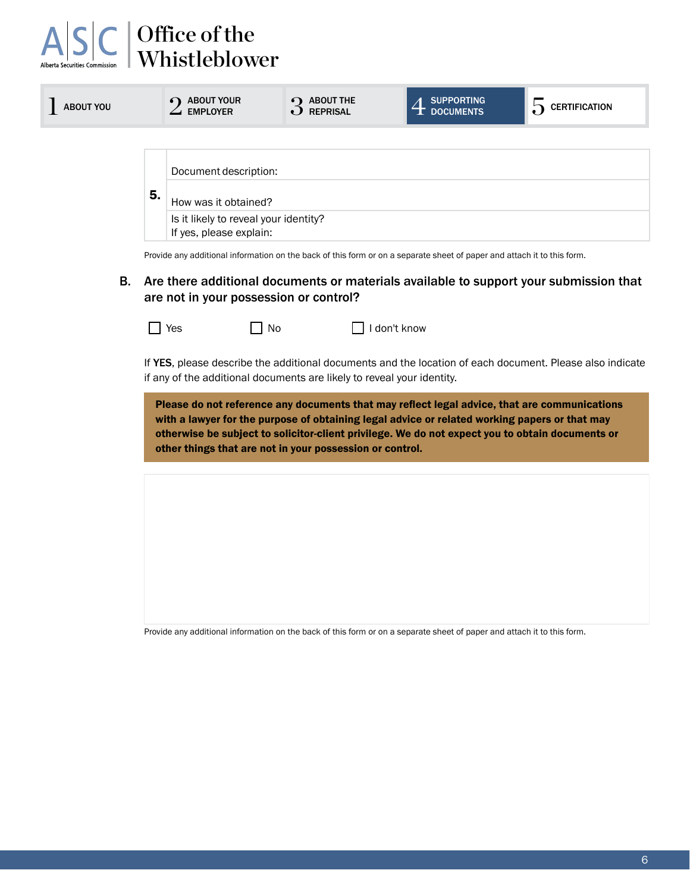| $\begin{array}{c}\nA \big \nS \big \nC\n\end{array}\n\begin{array}{c}\n\text{Office of the}\\ \text{Whistleblower}\n\end{array}$ |
|----------------------------------------------------------------------------------------------------------------------------------|
|                                                                                                                                  |

| <b>ABOUT YOU</b> | <b>ABOUT YOUR</b><br>$\bullet$<br><b>EMPLOYER</b>                                                                       | <b>ABOUT THE</b><br>$\Omega$<br><b>REPRISAL</b> | <b>SUPPORTING</b><br><b>DOCUMENTS</b> | <b>CERTIFICATION</b> |
|------------------|-------------------------------------------------------------------------------------------------------------------------|-------------------------------------------------|---------------------------------------|----------------------|
|                  |                                                                                                                         |                                                 |                                       |                      |
|                  | Document description:                                                                                                   |                                                 |                                       |                      |
| 5.               | How was it obtained?                                                                                                    |                                                 |                                       |                      |
|                  | Is it likely to reveal your identity?<br>If yes, please explain:                                                        |                                                 |                                       |                      |
|                  | Provide any additional information on the back of this form or on a separate sheet of paper and attach it to this form. |                                                 |                                       |                      |

B. Are there additional documents or materials available to support your submission that are not in your possession or control?

No I don't know

If YES, please describe the additional documents and the location of each document. Please also indicate if any of the additional documents are likely to reveal your identity.

Please do not reference any documents that may reflect legal advice, that are communications with a lawyer for the purpose of obtaining legal advice or related working papers or that may otherwise be subject to solicitor-client privilege. We do not expect you to obtain documents or other things that are not in your possession or control.

Provide any additional information on the back of this form or on a separate sheet of paper and attach it to this form.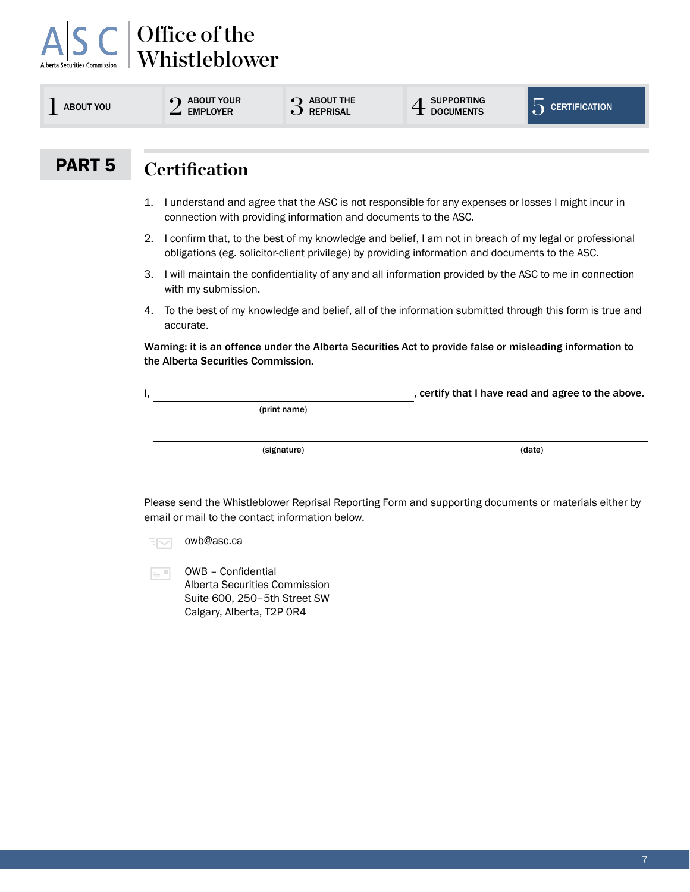## Office of the Whistleblower

| <b>ABOUT YOU</b> | <b>ABOUT YOUR</b><br><b>EMPLOYER</b>                                                                                                                                                                            | $\Omega$ ABOUT THE<br><b>REPRISAL</b>                           | <b>SUPPORTING</b>                                                                                     | $\sum$ CERTIFICATION                               |  |  |  |
|------------------|-----------------------------------------------------------------------------------------------------------------------------------------------------------------------------------------------------------------|-----------------------------------------------------------------|-------------------------------------------------------------------------------------------------------|----------------------------------------------------|--|--|--|
|                  |                                                                                                                                                                                                                 |                                                                 |                                                                                                       |                                                    |  |  |  |
| <b>PART 5</b>    | <b>Certification</b>                                                                                                                                                                                            |                                                                 |                                                                                                       |                                                    |  |  |  |
|                  | 1.                                                                                                                                                                                                              | connection with providing information and documents to the ASC. | I understand and agree that the ASC is not responsible for any expenses or losses I might incur in    |                                                    |  |  |  |
|                  | I confirm that, to the best of my knowledge and belief, I am not in breach of my legal or professional<br>2.<br>obligations (eg. solicitor-client privilege) by providing information and documents to the ASC. |                                                                 |                                                                                                       |                                                    |  |  |  |
|                  | I will maintain the confidentiality of any and all information provided by the ASC to me in connection<br>З.<br>with my submission.                                                                             |                                                                 |                                                                                                       |                                                    |  |  |  |
|                  | To the best of my knowledge and belief, all of the information submitted through this form is true and<br>4.<br>accurate.                                                                                       |                                                                 |                                                                                                       |                                                    |  |  |  |
|                  | Warning: it is an offence under the Alberta Securities Act to provide false or misleading information to<br>the Alberta Securities Commission.                                                                  |                                                                 |                                                                                                       |                                                    |  |  |  |
|                  | I,                                                                                                                                                                                                              |                                                                 |                                                                                                       | , certify that I have read and agree to the above. |  |  |  |
|                  | (print name)                                                                                                                                                                                                    |                                                                 |                                                                                                       |                                                    |  |  |  |
|                  |                                                                                                                                                                                                                 | (signature)                                                     |                                                                                                       | (date)                                             |  |  |  |
|                  |                                                                                                                                                                                                                 | email or mail to the contact information below.                 | Please send the Whistleblower Reprisal Reporting Form and supporting documents or materials either by |                                                    |  |  |  |

 $\overline{z}$  owb@asc.ca

OWB – Confidential  $\equiv$   $^{\rm{H}}$ Alberta Securities Commission Suite 600, 250–5th Street SW Calgary, Alberta, T2P 0R4